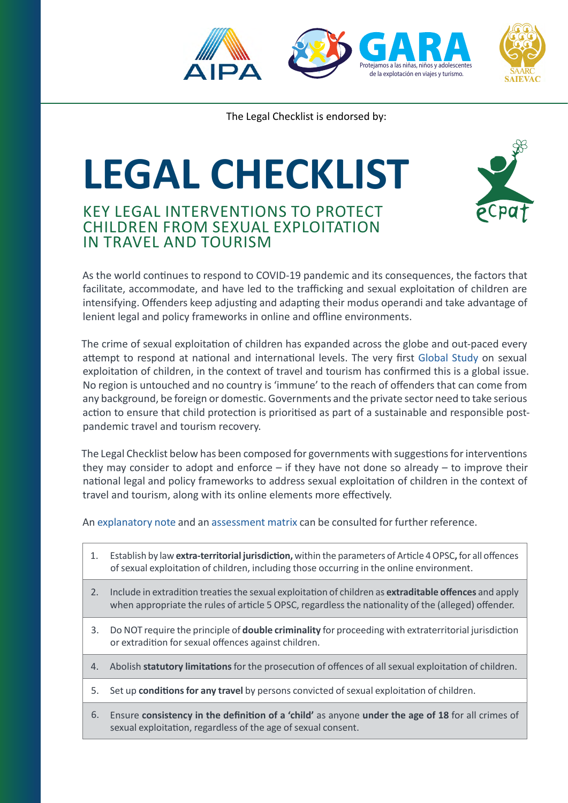

The Legal Checklist is endorsed by:

## **LEGAL CHECKLIST**

## KEY LEGAL INTERVENTIONS TO PROTECT CHILDREN FROM SEXUAL EXPLOITATION IN TRAVEL AND TOURISM



As the world continues to respond to COVID-19 pandemic and its consequences, the factors that facilitate, accommodate, and have led to the trafficking and sexual exploitation of children are intensifying. Offenders keep adjusting and adapting their modus operandi and take advantage of lenient legal and policy frameworks in online and offline environments.

The crime of sexual exploitation of children has expanded across the globe and out-paced every attempt to respond at national and international levels. The very first [Global Study](https://www.protectingchildrenintourism.org/resource/the-global-study-on-sexual-exploitation-of-children-in-travel-and-tourism-2016/) on sexual exploitation of children, in the context of travel and tourism has confirmed this is a global issue. No region is untouched and no country is 'immune' to the reach of offenders that can come from any background, be foreign or domestic. Governments and the private sector need to take serious action to ensure that child protection is prioritised as part of a sustainable and responsible postpandemic travel and tourism recovery.

The Legal Checklist below has been composed for governments with suggestions for interventions they may consider to adopt and enforce  $-$  if they have not done so already  $-$  to improve their national legal and policy frameworks to address sexual exploitation of children in the context of travel and tourism, along with its online elements more effectively.

An [explanatory note](https://ecpat.org/wp-content/uploads/2021/08/SECTT-Checklist_ENG_Explanatory-note.pdf) and an [assessment matrix](https://ecpat.org/wp-content/uploads/2021/09/Assesment-Matrix_2021SEP_ENG_v2.pdf) can be consulted for further reference.

- 1. Establish by law **extra-territorial jurisdiction,** within the parameters of Article 4 OPSC**,** for all offences of sexual exploitation of children, including those occurring in the online environment.
- 2. Include in extradition treaties the sexual exploitation of children as **extraditable offences** and apply when appropriate the rules of article 5 OPSC, regardless the nationality of the (alleged) offender.
- 3. Do NOT require the principle of **double criminality** for proceeding with extraterritorial jurisdiction or extradition for sexual offences against children.
- 4. Abolish **statutory limitations** for the prosecution of offences of all sexual exploitation of children.
- 5. Set up **conditions for any travel** by persons convicted of sexual exploitation of children.
- 6. Ensure **consistency in the definition of a 'child'** as anyone **under the age of 18** for all crimes of sexual exploitation, regardless of the age of sexual consent.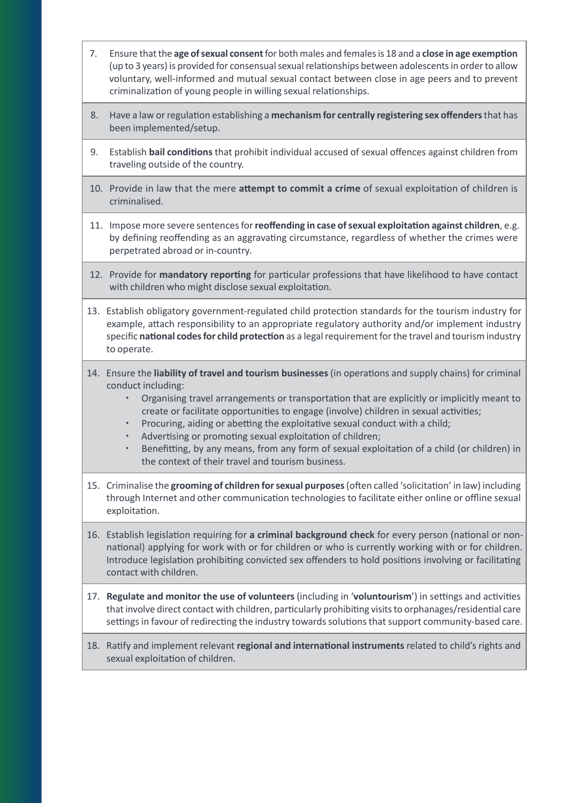- 7. Ensure that the **age of sexual consent** for both males and females is 18 and a **close in age exemption** (up to 3 years) is provided for consensual sexual relationships between adolescents in order to allow voluntary, well-informed and mutual sexual contact between close in age peers and to prevent criminalization of young people in willing sexual relationships.
- 8. Have a law or regulation establishing a **mechanism for centrally registering sex offenders** that has been implemented/setup.
- 9. Establish **bail conditions** that prohibit individual accused of sexual offences against children from traveling outside of the country.
- 10. Provide in law that the mere **attempt to commit a crime** of sexual exploitation of children is criminalised.
- 11. Impose more severe sentences for **reoffending in case of sexual exploitation against children**, e.g. by defining reoffending as an aggravating circumstance, regardless of whether the crimes were perpetrated abroad or in-country.
- 12. Provide for **mandatory reporting** for particular professions that have likelihood to have contact with children who might disclose sexual exploitation.
- 13. Establish obligatory government-regulated child protection standards for the tourism industry for example, attach responsibility to an appropriate regulatory authority and/or implement industry specific **national codes for child protection** as a legal requirement for the travel and tourism industry to operate.
- 14. Ensure the **liability of travel and tourism businesses** (in operations and supply chains) for criminal conduct including:
	- \* Organising travel arrangements or transportation that are explicitly or implicitly meant to create or facilitate opportunities to engage (involve) children in sexual activities;
	- \* Procuring, aiding or abetting the exploitative sexual conduct with a child;
	- Advertising or promoting sexual exploitation of children;
	- Benefitting, by any means, from any form of sexual exploitation of a child (or children) in the context of their travel and tourism business.
- 15. Criminalise the **grooming of children for sexual purposes** (often called 'solicitation' in law) including through Internet and other communication technologies to facilitate either online or offline sexual exploitation.
- 16. Establish legislation requiring for **a criminal background check** for every person (national or nonnational) applying for work with or for children or who is currently working with or for children. Introduce legislation prohibiting convicted sex offenders to hold positions involving or facilitating contact with children.
- 17. **Regulate and monitor the use of volunteers** (including in '**voluntourism**') in settings and activities that involve direct contact with children, particularly prohibiting visits to orphanages/residential care settings in favour of redirecting the industry towards solutions that support community-based care.
- 18. Ratify and implement relevant **regional and international instruments** related to child's rights and sexual exploitation of children.